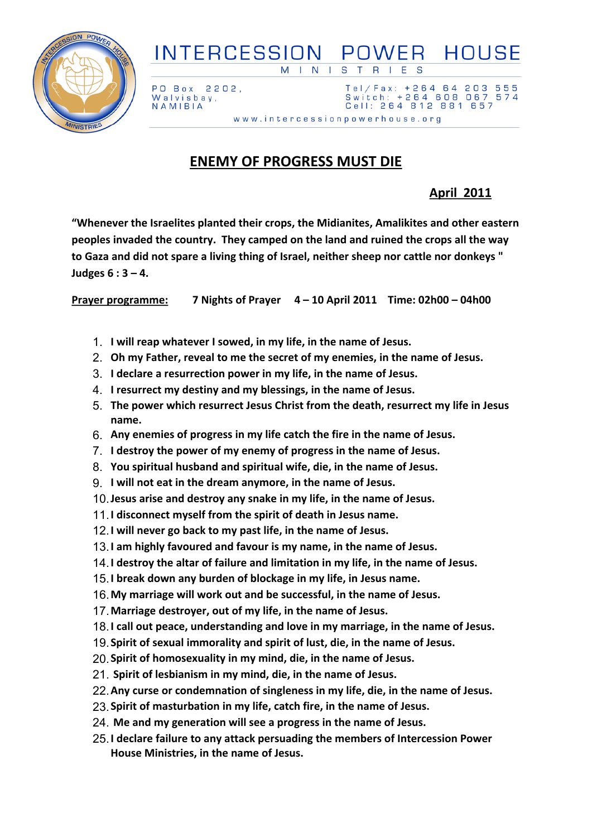

## **INTERCESSION** POWER HOUSE S  $M \mid N$  $\mathbf{L}$  $\overline{\mathsf{B}}$

PO Box 2202, Walvisbay, NAMIBIA

Tel/Fax: +264 64 203 555 Switch: +264 608 067 574 Cell: 264 812 881 657 www.intercessionpowerhouse.org

## **ENEMY OF PROGRESS MUST DIE**

## **April 2011**

**"Whenever the Israelites planted their crops, the Midianites, Amalikites and other eastern peoples invaded the country. They camped on the land and ruined the crops all the way to Gaza and did not spare a living thing of Israel, neither sheep nor cattle nor donkeys " Judges 6 : 3 – 4.**

**Prayer programme: 7 Nights of Prayer 4 – 10 April 2011 Time: 02h00 – 04h00**

- 1. **I will reap whatever I sowed, in my life, in the name of Jesus.**
- 2. **Oh my Father, reveal to me the secret of my enemies, in the name of Jesus.**
- 3. **I declare a resurrection power in my life, in the name of Jesus.**
- 4. **I resurrect my destiny and my blessings, in the name of Jesus.**
- 5. **The power which resurrect Jesus Christ from the death, resurrect my life in Jesus name.**
- 6. **Any enemies of progress in my life catch the fire in the name of Jesus.**
- 7. **I destroy the power of my enemy of progress in the name of Jesus.**
- 8. **You spiritual husband and spiritual wife, die, in the name of Jesus.**
- 9. **I will not eat in the dream anymore, in the name of Jesus.**
- 10.**Jesus arise and destroy any snake in my life, in the name of Jesus.**
- 11.**I disconnect myself from the spirit of death in Jesus name.**
- 12.**I will never go back to my past life, in the name of Jesus.**
- 13.**I am highly favoured and favour is my name, in the name of Jesus.**
- 14.**I destroy the altar of failure and limitation in my life, in the name of Jesus.**
- 15.**I break down any burden of blockage in my life, in Jesus name.**
- 16.**My marriage will work out and be successful, in the name of Jesus.**
- 17.**Marriage destroyer, out of my life, in the name of Jesus.**
- 18.**I call out peace, understanding and love in my marriage, in the name of Jesus.**
- 19.**Spirit of sexual immorality and spirit of lust, die, in the name of Jesus.**
- 20.**Spirit of homosexuality in my mind, die, in the name of Jesus.**
- 21. **Spirit of lesbianism in my mind, die, in the name of Jesus.**
- 22.**Any curse or condemnation of singleness in my life, die, in the name of Jesus.**
- 23.**Spirit of masturbation in my life, catch fire, in the name of Jesus.**
- 24. **Me and my generation will see a progress in the name of Jesus.**
- 25.**I declare failure to any attack persuading the members of Intercession Power House Ministries, in the name of Jesus.**